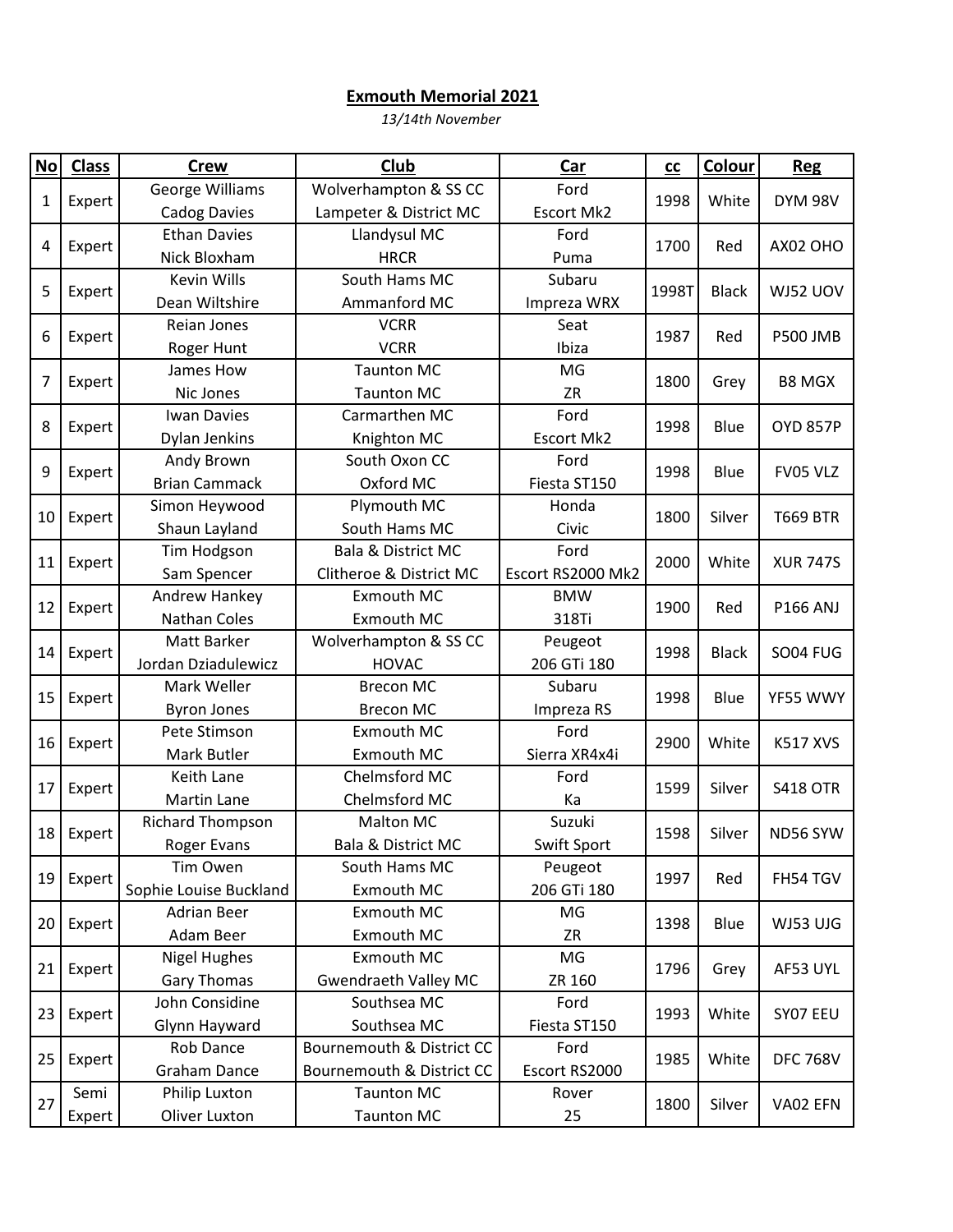## **Exmouth Memorial 2021**

*13/14th November*

| N <sub>O</sub> | <b>Class</b> | <b>Crew</b>             | Club                          | Car               | cc    | Colour           | <b>Reg</b>      |
|----------------|--------------|-------------------------|-------------------------------|-------------------|-------|------------------|-----------------|
| $\mathbf 1$    | Expert       | George Williams         | Wolverhampton & SS CC         | Ford              | 1998  | White            | <b>DYM 98V</b>  |
|                |              | <b>Cadog Davies</b>     | Lampeter & District MC        | <b>Escort Mk2</b> |       |                  |                 |
| 4              | Expert       | <b>Ethan Davies</b>     | Llandysul MC                  | Ford              |       | Red              | AX02 OHO        |
|                |              | Nick Bloxham            | <b>HRCR</b>                   | Puma              | 1700  |                  |                 |
| 5              | Expert       | <b>Kevin Wills</b>      | South Hams MC                 | Subaru            | 1998T | <b>Black</b>     | WJ52 UOV        |
|                |              | Dean Wiltshire          | Ammanford MC                  | Impreza WRX       |       |                  |                 |
| 6              | Expert       | Reian Jones             | <b>VCRR</b>                   | Seat              | 1987  | Red              | <b>P500 JMB</b> |
|                |              | Roger Hunt              | <b>VCRR</b>                   | Ibiza             |       |                  |                 |
| 7              | Expert       | James How               | <b>Taunton MC</b>             | MG                | 1800  | Grey             | <b>B8 MGX</b>   |
|                |              | Nic Jones               | <b>Taunton MC</b>             | <b>ZR</b>         |       |                  |                 |
| 8              | Expert       | <b>Iwan Davies</b>      | Carmarthen MC                 | Ford              | 1998  | Blue             | <b>OYD 857P</b> |
|                |              | Dylan Jenkins           | Knighton MC                   | Escort Mk2        |       |                  |                 |
| 9              | Expert       | Andy Brown              | South Oxon CC                 | Ford              | 1998  | Blue             | FV05 VLZ        |
|                |              | <b>Brian Cammack</b>    | Oxford MC                     | Fiesta ST150      |       |                  |                 |
| 10             | Expert       | Simon Heywood           | Plymouth MC                   | Honda             | 1800  | Silver           | <b>T669 BTR</b> |
|                |              | Shaun Layland           | South Hams MC                 | Civic             |       |                  |                 |
| 11             | Expert       | Tim Hodgson             | Bala & District MC            | Ford              | 2000  | White            | <b>XUR 747S</b> |
|                |              | Sam Spencer             | Clitheroe & District MC       | Escort RS2000 Mk2 |       |                  |                 |
| 12             | Expert       | Andrew Hankey           | Exmouth MC                    | <b>BMW</b>        | 1900  | Red              | P166 ANJ        |
|                |              | Nathan Coles            | Exmouth MC                    | 318Ti             |       |                  |                 |
| 14             | Expert       | Matt Barker             | Wolverhampton & SS CC         | Peugeot           | 1998  | <b>Black</b>     | <b>SO04 FUG</b> |
|                |              | Jordan Dziadulewicz     | <b>HOVAC</b>                  | 206 GTi 180       |       |                  |                 |
| 15             | Expert       | Mark Weller             | <b>Brecon MC</b>              | Subaru            | 1998  | Blue             | YF55 WWY        |
|                |              | <b>Byron Jones</b>      | <b>Brecon MC</b>              | Impreza RS        |       |                  |                 |
| 16             | Expert       | Pete Stimson            | Exmouth MC                    | Ford              | 2900  | White            | <b>K517 XVS</b> |
|                |              | Mark Butler             | Exmouth MC                    | Sierra XR4x4i     |       |                  |                 |
| 17             | Expert       | Keith Lane              | Chelmsford MC                 | Ford              | 1599  | Silver           | <b>S418 OTR</b> |
|                |              | Martin Lane             | Chelmsford MC                 | Ka                |       |                  |                 |
| 18             | Expert       | <b>Richard Thompson</b> | <b>Malton MC</b>              | Suzuki            | 1598  | Silver           | ND56 SYW        |
|                |              | <b>Roger Evans</b>      | <b>Bala &amp; District MC</b> | Swift Sport       |       |                  |                 |
| 19             | Expert       | Tim Owen                | South Hams MC                 | Peugeot           | 1997  | Red              | FH54 TGV        |
|                |              | Sophie Louise Buckland  | <b>Exmouth MC</b>             | 206 GTi 180       |       |                  |                 |
| 20             | Expert       | <b>Adrian Beer</b>      | Exmouth MC                    | MG                | 1398  | Blue<br>WJ53 UJG |                 |
|                |              | Adam Beer               | Exmouth MC                    | ZR                |       |                  |                 |
| 21             | Expert       | <b>Nigel Hughes</b>     | Exmouth MC                    | MG                | 1796  | Grey             | AF53 UYL        |
|                |              | <b>Gary Thomas</b>      | <b>Gwendraeth Valley MC</b>   | ZR 160            |       |                  |                 |
| 23             | Expert       | John Considine          | Southsea MC                   | Ford              | 1993  | White            | SY07 EEU        |
|                |              | Glynn Hayward           | Southsea MC                   | Fiesta ST150      |       |                  |                 |
| 25             | Expert       | Rob Dance               | Bournemouth & District CC     | Ford              | 1985  | White            | <b>DFC 768V</b> |
|                |              | Graham Dance            | Bournemouth & District CC     | Escort RS2000     |       |                  |                 |
| 27             | Semi         | Philip Luxton           | <b>Taunton MC</b>             | Rover             | 1800  | Silver           | VA02 EFN        |
|                | Expert       | Oliver Luxton           | <b>Taunton MC</b>             | 25                |       |                  |                 |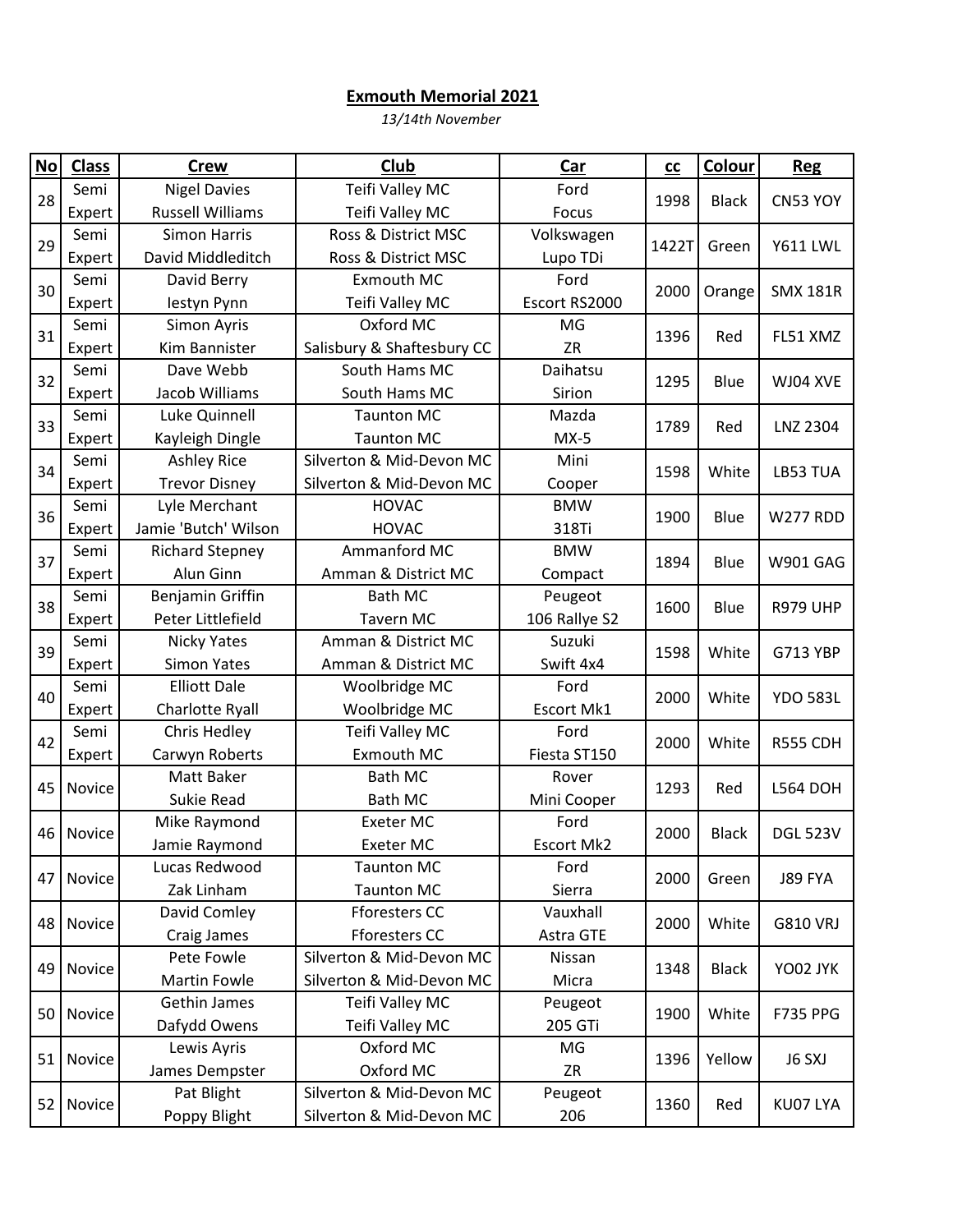## **Exmouth Memorial 2021**

*13/14th November*

| No | <b>Class</b> | <b>Crew</b>             | Club                       | Car               | $c$   | Colour       | <b>Reg</b>      |
|----|--------------|-------------------------|----------------------------|-------------------|-------|--------------|-----------------|
| 28 | Semi         | <b>Nigel Davies</b>     | Teifi Valley MC            | Ford              | 1998  | <b>Black</b> | CN53 YOY        |
|    | Expert       | <b>Russell Williams</b> | Teifi Valley MC            | Focus             |       |              |                 |
| 29 | Semi         | <b>Simon Harris</b>     | Ross & District MSC        | Volkswagen        | 1422T | Green        | <b>Y611 LWL</b> |
|    | Expert       | David Middleditch       | Ross & District MSC        | Lupo TDi          |       |              |                 |
| 30 | Semi         | David Berry             | Exmouth MC                 | Ford              | 2000  | Orange       | <b>SMX 181R</b> |
|    | Expert       | lestyn Pynn             | Teifi Valley MC            | Escort RS2000     |       |              |                 |
| 31 | Semi         | Simon Ayris             | Oxford MC                  | MG                | 1396  | Red          | FL51 XMZ        |
|    | Expert       | Kim Bannister           | Salisbury & Shaftesbury CC | <b>ZR</b>         |       |              |                 |
| 32 | Semi         | Dave Webb               | South Hams MC              | Daihatsu          | 1295  | Blue         | WJ04 XVE        |
|    | Expert       | Jacob Williams          | South Hams MC              | Sirion            |       |              |                 |
| 33 | Semi         | Luke Quinnell           | <b>Taunton MC</b>          | Mazda             | 1789  | Red          | <b>LNZ 2304</b> |
|    | Expert       | Kayleigh Dingle         | <b>Taunton MC</b>          | $MX-5$            |       |              |                 |
| 34 | Semi         | Ashley Rice             | Silverton & Mid-Devon MC   | Mini              | 1598  | White        | LB53 TUA        |
|    | Expert       | <b>Trevor Disney</b>    | Silverton & Mid-Devon MC   | Cooper            |       |              |                 |
| 36 | Semi         | Lyle Merchant           | <b>HOVAC</b>               | <b>BMW</b>        | 1900  | Blue         | W277 RDD        |
|    | Expert       | Jamie 'Butch' Wilson    | <b>HOVAC</b>               | 318Ti             |       |              |                 |
| 37 | Semi         | <b>Richard Stepney</b>  | Ammanford MC               | <b>BMW</b>        | 1894  | Blue         | <b>W901 GAG</b> |
|    | Expert       | Alun Ginn               | Amman & District MC        | Compact           |       |              |                 |
| 38 | Semi         | Benjamin Griffin        | <b>Bath MC</b>             | Peugeot           | 1600  | Blue         | <b>R979 UHP</b> |
|    | Expert       | Peter Littlefield       | <b>Tavern MC</b>           | 106 Rallye S2     |       |              |                 |
| 39 | Semi         | Nicky Yates             | Amman & District MC        | Suzuki            | 1598  | White        | G713 YBP        |
|    | Expert       | <b>Simon Yates</b>      | Amman & District MC        | Swift 4x4         |       |              |                 |
| 40 | Semi         | <b>Elliott Dale</b>     | Woolbridge MC              | Ford              | 2000  | White        | <b>YDO 583L</b> |
|    | Expert       | Charlotte Ryall         | Woolbridge MC              | Escort Mk1        |       |              |                 |
| 42 | Semi         | Chris Hedley            | Teifi Valley MC            | Ford              | 2000  | White        | <b>R555 CDH</b> |
|    | Expert       | Carwyn Roberts          | Exmouth MC                 | Fiesta ST150      |       |              |                 |
| 45 | Novice       | Matt Baker              | <b>Bath MC</b>             | Rover             | 1293  | Red          | <b>L564 DOH</b> |
|    |              | Sukie Read              | <b>Bath MC</b>             | Mini Cooper       |       |              |                 |
| 46 | Novice       | Mike Raymond            | Exeter MC                  | Ford              | 2000  | <b>Black</b> | <b>DGL 523V</b> |
|    |              | Jamie Raymond           | <b>Exeter MC</b>           | <b>Escort Mk2</b> |       |              |                 |
| 47 | Novice       | Lucas Redwood           | <b>Taunton MC</b>          | Ford              | 2000  | Green        | J89 FYA         |
|    |              | Zak Linham              | <b>Taunton MC</b>          | Sierra            |       |              |                 |
| 48 | Novice       | David Comley            | <b>Fforesters CC</b>       | Vauxhall          | 2000  | White        | <b>G810 VRJ</b> |
|    |              | Craig James             | <b>Fforesters CC</b>       | Astra GTE         |       |              |                 |
| 49 | Novice       | Pete Fowle              | Silverton & Mid-Devon MC   | Nissan            | 1348  | <b>Black</b> | YO02 JYK        |
|    |              | <b>Martin Fowle</b>     | Silverton & Mid-Devon MC   | Micra             |       |              |                 |
| 50 | Novice       | Gethin James            | Teifi Valley MC            | Peugeot           | 1900  | White        | <b>F735 PPG</b> |
|    |              | Dafydd Owens            | Teifi Valley MC            | 205 GTi           |       |              |                 |
| 51 | Novice       | Lewis Ayris             | Oxford MC                  | MG                | 1396  | Yellow       | J6 SXJ          |
|    |              | James Dempster          | Oxford MC                  | ZR                |       |              |                 |
| 52 | Novice       | Pat Blight              | Silverton & Mid-Devon MC   | Peugeot           | 1360  | Red          | KU07 LYA        |
|    |              | Poppy Blight            | Silverton & Mid-Devon MC   | 206               |       |              |                 |